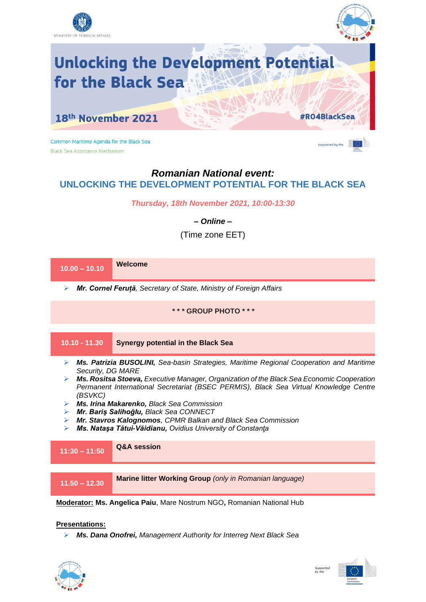



**Unlocking the Development Potential** for the Black Sea

18th November 2021

Common Maritime Agenda for the Black Sea Black Sea Assistance Mechanism



#R04BlackSea

## *Romanian National event:* **UNLOCKING THE DEVELOPMENT POTENTIAL FOR THE BLACK SEA**

*Thursday, 18th November 2021, 10:00-13:30*

*– Online –*

(Time zone EET)



**Presentations:**

➢ *Ms. Dana Onofrei, Management Authority for Interreg Next Black Sea*